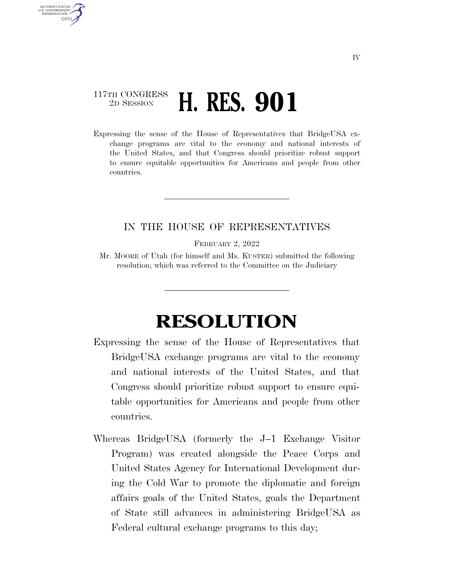## 117TH CONGRESS 2D SESSION **H. RES. 901**

AUTHENTICATED U.S. GOVERNMENT **GPO** 

> Expressing the sense of the House of Representatives that BridgeUSA exchange programs are vital to the economy and national interests of the United States, and that Congress should prioritize robust support to ensure equitable opportunities for Americans and people from other countries.

## IN THE HOUSE OF REPRESENTATIVES

FEBRUARY 2, 2022

Mr. MOORE of Utah (for himself and Ms. KUSTER) submitted the following resolution; which was referred to the Committee on the Judiciary

## **RESOLUTION**

- Expressing the sense of the House of Representatives that BridgeUSA exchange programs are vital to the economy and national interests of the United States, and that Congress should prioritize robust support to ensure equitable opportunities for Americans and people from other countries.
- Whereas BridgeUSA (formerly the J–1 Exchange Visitor Program) was created alongside the Peace Corps and United States Agency for International Development during the Cold War to promote the diplomatic and foreign affairs goals of the United States, goals the Department of State still advances in administering BridgeUSA as Federal cultural exchange programs to this day;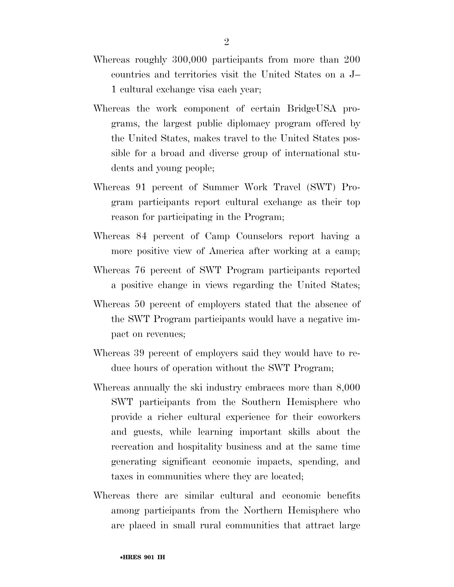- Whereas roughly 300,000 participants from more than 200 countries and territories visit the United States on a J– 1 cultural exchange visa each year;
- Whereas the work component of certain BridgeUSA programs, the largest public diplomacy program offered by the United States, makes travel to the United States possible for a broad and diverse group of international students and young people;
- Whereas 91 percent of Summer Work Travel (SWT) Program participants report cultural exchange as their top reason for participating in the Program;
- Whereas 84 percent of Camp Counselors report having a more positive view of America after working at a camp;
- Whereas 76 percent of SWT Program participants reported a positive change in views regarding the United States;
- Whereas 50 percent of employers stated that the absence of the SWT Program participants would have a negative impact on revenues;
- Whereas 39 percent of employers said they would have to reduce hours of operation without the SWT Program;
- Whereas annually the ski industry embraces more than 8,000 SWT participants from the Southern Hemisphere who provide a richer cultural experience for their coworkers and guests, while learning important skills about the recreation and hospitality business and at the same time generating significant economic impacts, spending, and taxes in communities where they are located;
- Whereas there are similar cultural and economic benefits among participants from the Northern Hemisphere who are placed in small rural communities that attract large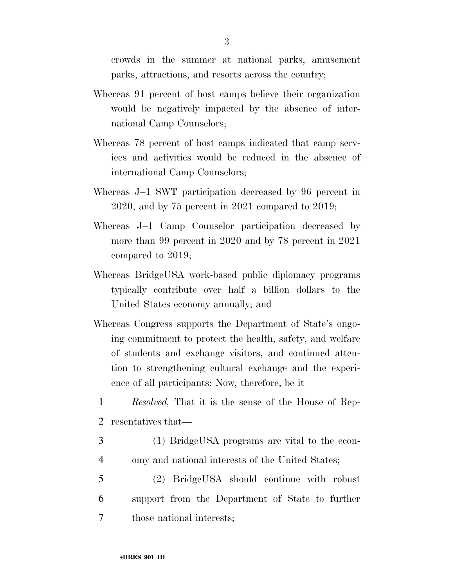crowds in the summer at national parks, amusement parks, attractions, and resorts across the country;

- Whereas 91 percent of host camps believe their organization would be negatively impacted by the absence of international Camp Counselors;
- Whereas 78 percent of host camps indicated that camp services and activities would be reduced in the absence of international Camp Counselors;
- Whereas J–1 SWT participation decreased by 96 percent in 2020, and by 75 percent in 2021 compared to 2019;
- Whereas J–1 Camp Counselor participation decreased by more than 99 percent in 2020 and by 78 percent in 2021 compared to 2019;
- Whereas BridgeUSA work-based public diplomacy programs typically contribute over half a billion dollars to the United States economy annually; and
- Whereas Congress supports the Department of State's ongoing commitment to protect the health, safety, and welfare of students and exchange visitors, and continued attention to strengthening cultural exchange and the experience of all participants: Now, therefore, be it
- 1 *Resolved,* That it is the sense of the House of Rep-2 resentatives that—
- 3 (1) BridgeUSA programs are vital to the econ-4 omy and national interests of the United States;
- 5 (2) BridgeUSA should continue with robust 6 support from the Department of State to further 7 those national interests;